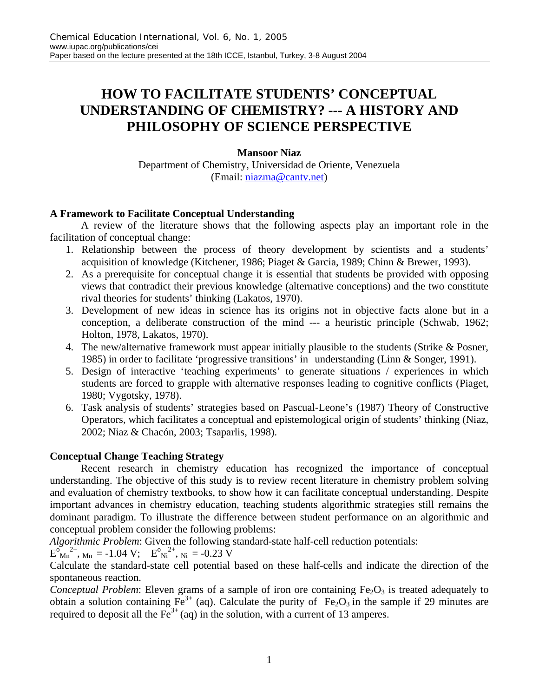# **HOW TO FACILITATE STUDENTS' CONCEPTUAL UNDERSTANDING OF CHEMISTRY? --- A HISTORY AND PHILOSOPHY OF SCIENCE PERSPECTIVE**

## **Mansoor Niaz**

Department of Chemistry, Universidad de Oriente, Venezuela (Email: niazma@cantv.net)

## **A Framework to Facilitate Conceptual Understanding**

A review of the literature shows that the following aspects play an important role in the facilitation of conceptual change:

- 1. Relationship between the process of theory development by scientists and a students' acquisition of knowledge (Kitchener, 1986; Piaget & Garcia, 1989; Chinn & Brewer, 1993).
- 2. As a prerequisite for conceptual change it is essential that students be provided with opposing views that contradict their previous knowledge (alternative conceptions) and the two constitute rival theories for students' thinking (Lakatos, 1970).
- 3. Development of new ideas in science has its origins not in objective facts alone but in a conception, a deliberate construction of the mind --- a heuristic principle (Schwab, 1962; Holton, 1978, Lakatos, 1970).
- 4. The new/alternative framework must appear initially plausible to the students (Strike & Posner, 1985) in order to facilitate 'progressive transitions' in understanding (Linn & Songer, 1991).
- 5. Design of interactive 'teaching experiments' to generate situations / experiences in which students are forced to grapple with alternative responses leading to cognitive conflicts (Piaget, 1980; Vygotsky, 1978).
- 6. Task analysis of students' strategies based on Pascual-Leone's (1987) Theory of Constructive Operators, which facilitates a conceptual and epistemological origin of students' thinking (Niaz, 2002; Niaz & Chacón, 2003; Tsaparlis, 1998).

## **Conceptual Change Teaching Strategy**

Recent research in chemistry education has recognized the importance of conceptual understanding. The objective of this study is to review recent literature in chemistry problem solving and evaluation of chemistry textbooks, to show how it can facilitate conceptual understanding. Despite important advances in chemistry education, teaching students algorithmic strategies still remains the dominant paradigm. To illustrate the difference between student performance on an algorithmic and conceptual problem consider the following problems:

*Algorithmic Problem*: Given the following standard-state half-cell reduction potentials:

 $E_{\text{Mn}}^{\text{o}}^{2+}$ , <sub>Mn</sub> = -1.04 V;  $E_{\text{Ni}}^{\text{o}}$ <sup>2+</sup>, <sub>Ni</sub> = -0.23 V

Calculate the standard-state cell potential based on these half-cells and indicate the direction of the spontaneous reaction.

*Conceptual Problem*: Eleven grams of a sample of iron ore containing Fe<sub>2</sub>O<sub>3</sub> is treated adequately to obtain a solution containing  $Fe^{3+}$  (aq). Calculate the purity of  $Fe_2O_3$  in the sample if 29 minutes are required to deposit all the  $Fe^{3+}$  (aq) in the solution, with a current of 13 amperes.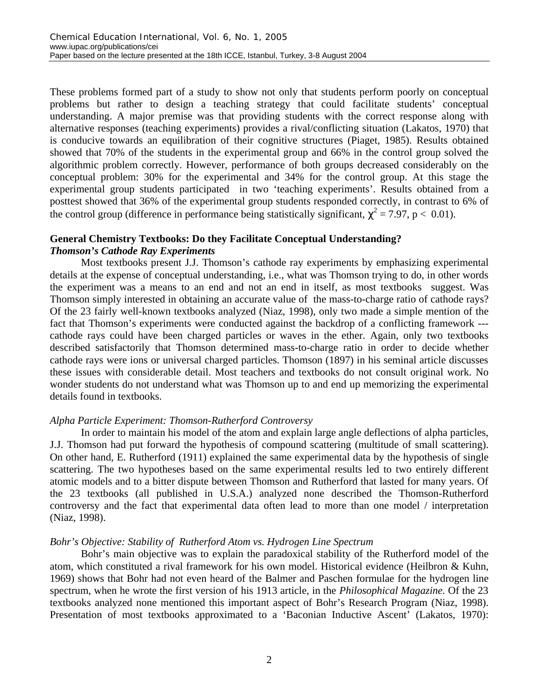These problems formed part of a study to show not only that students perform poorly on conceptual problems but rather to design a teaching strategy that could facilitate students' conceptual understanding. A major premise was that providing students with the correct response along with alternative responses (teaching experiments) provides a rival/conflicting situation (Lakatos, 1970) that is conducive towards an equilibration of their cognitive structures (Piaget, 1985). Results obtained showed that 70% of the students in the experimental group and 66% in the control group solved the algorithmic problem correctly. However, performance of both groups decreased considerably on the conceptual problem: 30% for the experimental and 34% for the control group. At this stage the experimental group students participated in two 'teaching experiments'. Results obtained from a posttest showed that 36% of the experimental group students responded correctly, in contrast to 6% of the control group (difference in performance being statistically significant,  $\chi^2 = 7.97$ , p < 0.01).

## **General Chemistry Textbooks: Do they Facilitate Conceptual Understanding?** *Thomson's Cathode Ray Experiments*

Most textbooks present J.J. Thomson's cathode ray experiments by emphasizing experimental details at the expense of conceptual understanding, i.e., what was Thomson trying to do, in other words the experiment was a means to an end and not an end in itself, as most textbooks suggest. Was Thomson simply interested in obtaining an accurate value of the mass-to-charge ratio of cathode rays? Of the 23 fairly well-known textbooks analyzed (Niaz, 1998), only two made a simple mention of the fact that Thomson's experiments were conducted against the backdrop of a conflicting framework -- cathode rays could have been charged particles or waves in the ether. Again, only two textbooks described satisfactorily that Thomson determined mass-to-charge ratio in order to decide whether cathode rays were ions or universal charged particles. Thomson (1897) in his seminal article discusses these issues with considerable detail. Most teachers and textbooks do not consult original work. No wonder students do not understand what was Thomson up to and end up memorizing the experimental details found in textbooks.

#### *Alpha Particle Experiment: Thomson-Rutherford Controversy*

In order to maintain his model of the atom and explain large angle deflections of alpha particles, J.J. Thomson had put forward the hypothesis of compound scattering (multitude of small scattering). On other hand, E. Rutherford (1911) explained the same experimental data by the hypothesis of single scattering. The two hypotheses based on the same experimental results led to two entirely different atomic models and to a bitter dispute between Thomson and Rutherford that lasted for many years. Of the 23 textbooks (all published in U.S.A.) analyzed none described the Thomson-Rutherford controversy and the fact that experimental data often lead to more than one model / interpretation (Niaz, 1998).

#### *Bohr's Objective: Stability of Rutherford Atom vs. Hydrogen Line Spectrum*

Bohr's main objective was to explain the paradoxical stability of the Rutherford model of the atom, which constituted a rival framework for his own model. Historical evidence (Heilbron & Kuhn, 1969) shows that Bohr had not even heard of the Balmer and Paschen formulae for the hydrogen line spectrum, when he wrote the first version of his 1913 article, in the *Philosophical Magazine.* Of the 23 textbooks analyzed none mentioned this important aspect of Bohr's Research Program (Niaz, 1998). Presentation of most textbooks approximated to a 'Baconian Inductive Ascent' (Lakatos, 1970):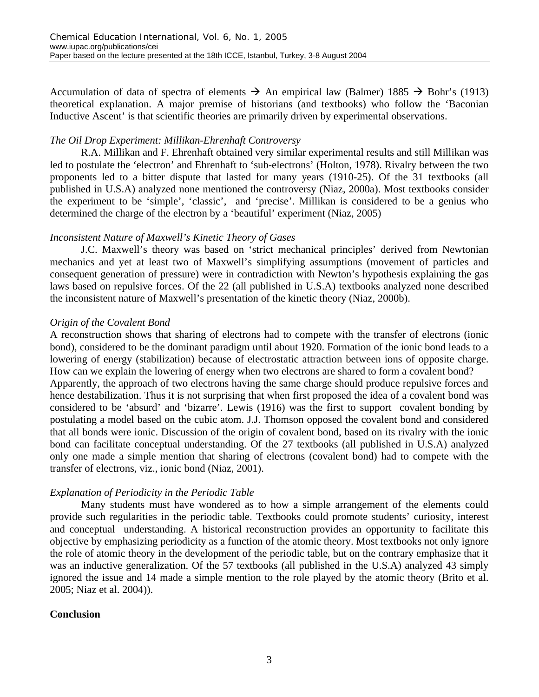Accumulation of data of spectra of elements  $\rightarrow$  An empirical law (Balmer) 1885  $\rightarrow$  Bohr's (1913) theoretical explanation. A major premise of historians (and textbooks) who follow the 'Baconian Inductive Ascent' is that scientific theories are primarily driven by experimental observations.

## *The Oil Drop Experiment: Millikan-Ehrenhaft Controversy*

R.A. Millikan and F. Ehrenhaft obtained very similar experimental results and still Millikan was led to postulate the 'electron' and Ehrenhaft to 'sub-electrons' (Holton, 1978). Rivalry between the two proponents led to a bitter dispute that lasted for many years (1910-25). Of the 31 textbooks (all published in U.S.A) analyzed none mentioned the controversy (Niaz, 2000a). Most textbooks consider the experiment to be 'simple', 'classic', and 'precise'. Millikan is considered to be a genius who determined the charge of the electron by a 'beautiful' experiment (Niaz, 2005)

## *Inconsistent Nature of Maxwell's Kinetic Theory of Gases*

J.C. Maxwell's theory was based on 'strict mechanical principles' derived from Newtonian mechanics and yet at least two of Maxwell's simplifying assumptions (movement of particles and consequent generation of pressure) were in contradiction with Newton's hypothesis explaining the gas laws based on repulsive forces. Of the 22 (all published in U.S.A) textbooks analyzed none described the inconsistent nature of Maxwell's presentation of the kinetic theory (Niaz, 2000b).

#### *Origin of the Covalent Bond*

A reconstruction shows that sharing of electrons had to compete with the transfer of electrons (ionic bond), considered to be the dominant paradigm until about 1920. Formation of the ionic bond leads to a lowering of energy (stabilization) because of electrostatic attraction between ions of opposite charge. How can we explain the lowering of energy when two electrons are shared to form a covalent bond? Apparently, the approach of two electrons having the same charge should produce repulsive forces and hence destabilization. Thus it is not surprising that when first proposed the idea of a covalent bond was considered to be 'absurd' and 'bizarre'. Lewis (1916) was the first to support covalent bonding by postulating a model based on the cubic atom. J.J. Thomson opposed the covalent bond and considered that all bonds were ionic. Discussion of the origin of covalent bond, based on its rivalry with the ionic bond can facilitate conceptual understanding. Of the 27 textbooks (all published in U.S.A) analyzed only one made a simple mention that sharing of electrons (covalent bond) had to compete with the transfer of electrons, viz., ionic bond (Niaz, 2001).

#### *Explanation of Periodicity in the Periodic Table*

Many students must have wondered as to how a simple arrangement of the elements could provide such regularities in the periodic table. Textbooks could promote students' curiosity, interest and conceptual understanding. A historical reconstruction provides an opportunity to facilitate this objective by emphasizing periodicity as a function of the atomic theory. Most textbooks not only ignore the role of atomic theory in the development of the periodic table, but on the contrary emphasize that it was an inductive generalization. Of the 57 textbooks (all published in the U.S.A) analyzed 43 simply ignored the issue and 14 made a simple mention to the role played by the atomic theory (Brito et al. 2005; Niaz et al. 2004)).

## **Conclusion**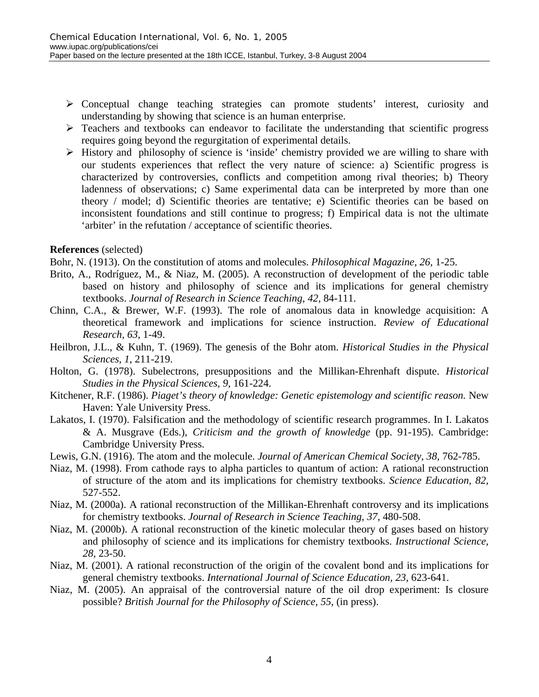- $\triangleright$  Conceptual change teaching strategies can promote students' interest, curiosity and understanding by showing that science is an human enterprise.
- $\triangleright$  Teachers and textbooks can endeavor to facilitate the understanding that scientific progress requires going beyond the regurgitation of experimental details.
- $\triangleright$  History and philosophy of science is 'inside' chemistry provided we are willing to share with our students experiences that reflect the very nature of science: a) Scientific progress is characterized by controversies, conflicts and competition among rival theories; b) Theory ladenness of observations; c) Same experimental data can be interpreted by more than one theory / model; d) Scientific theories are tentative; e) Scientific theories can be based on inconsistent foundations and still continue to progress; f) Empirical data is not the ultimate 'arbiter' in the refutation / acceptance of scientific theories.

#### **References** (selected)

Bohr, N. (1913). On the constitution of atoms and molecules. *Philosophical Magazine, 26,* 1-25.

- Brito, A., Rodríguez, M., & Niaz, M. (2005). A reconstruction of development of the periodic table based on history and philosophy of science and its implications for general chemistry textbooks. *Journal of Research in Science Teaching, 42*, 84-111.
- Chinn, C.A., & Brewer, W.F. (1993). The role of anomalous data in knowledge acquisition: A theoretical framework and implications for science instruction. *Review of Educational Research, 63,* 1-49.
- Heilbron, J.L., & Kuhn, T. (1969). The genesis of the Bohr atom. *Historical Studies in the Physical Sciences, 1*, 211-219.
- Holton, G. (1978). Subelectrons, presuppositions and the Millikan-Ehrenhaft dispute. *Historical Studies in the Physical Sciences, 9,* 161-224.
- Kitchener, R.F. (1986). *Piaget's theory of knowledge: Genetic epistemology and scientific reason.* New Haven: Yale University Press.
- Lakatos, I. (1970). Falsification and the methodology of scientific research programmes. In I. Lakatos & A. Musgrave (Eds.), *Criticism and the growth of knowledge* (pp. 91-195). Cambridge: Cambridge University Press.
- Lewis, G.N. (1916). The atom and the molecule. *Journal of American Chemical Society*, *38,* 762-785.
- Niaz, M. (1998). From cathode rays to alpha particles to quantum of action: A rational reconstruction of structure of the atom and its implications for chemistry textbooks. *Science Education, 82,* 527-552.
- Niaz, M. (2000a). A rational reconstruction of the Millikan-Ehrenhaft controversy and its implications for chemistry textbooks. *Journal of Research in Science Teaching, 37,* 480-508.
- Niaz, M. (2000b). A rational reconstruction of the kinetic molecular theory of gases based on history and philosophy of science and its implications for chemistry textbooks. *Instructional Science, 28,* 23-50.
- Niaz, M. (2001). A rational reconstruction of the origin of the covalent bond and its implications for general chemistry textbooks. *International Journal of Science Education, 23,* 623-641.
- Niaz, M. (2005). An appraisal of the controversial nature of the oil drop experiment: Is closure possible? *British Journal for the Philosophy of Science, 55*, (in press).